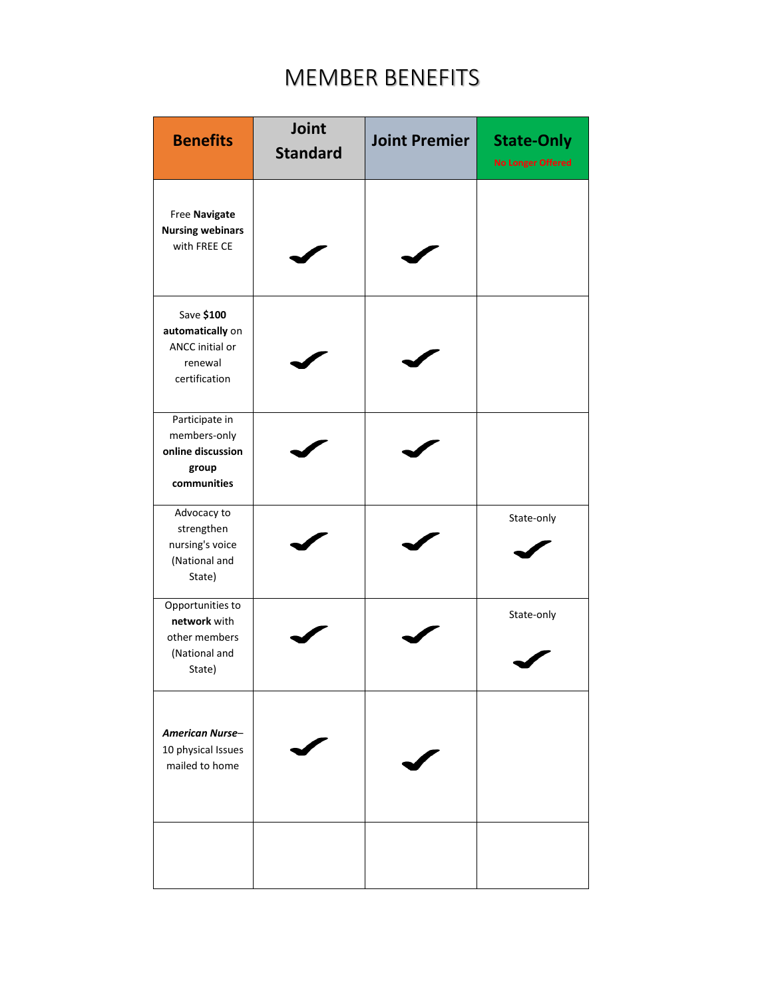| <b>Benefits</b>                                                               | Joint<br><b>Standard</b> | <b>Joint Premier</b> | <b>State-Only</b><br><b>No Longer Offered</b> |
|-------------------------------------------------------------------------------|--------------------------|----------------------|-----------------------------------------------|
| Free Navigate<br><b>Nursing webinars</b><br>with FREE CE                      |                          |                      |                                               |
| Save \$100<br>automatically on<br>ANCC initial or<br>renewal<br>certification |                          |                      |                                               |
| Participate in<br>members-only<br>online discussion<br>group<br>communities   |                          |                      |                                               |
| Advocacy to<br>strengthen<br>nursing's voice<br>(National and<br>State)       |                          |                      | State-only                                    |
| Opportunities to<br>network with<br>other members<br>(National and<br>State)  |                          |                      | State-only                                    |
| <b>American Nurse-</b><br>10 physical Issues<br>mailed to home                |                          |                      |                                               |
|                                                                               |                          |                      |                                               |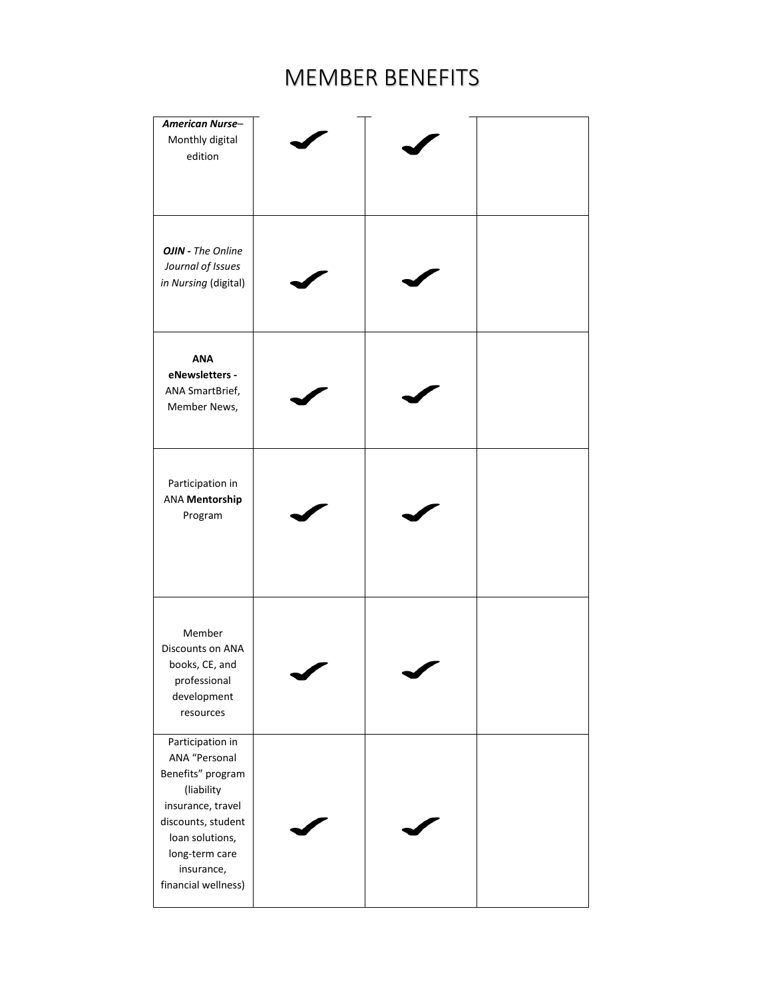| <b>American Nurse-</b><br>Monthly digital<br>edition                                                                                                                                      |  |  |
|-------------------------------------------------------------------------------------------------------------------------------------------------------------------------------------------|--|--|
| <b>OJIN</b> - The Online<br>Journal of Issues<br>in Nursing (digital)                                                                                                                     |  |  |
| <b>ANA</b><br>eNewsletters -<br>ANA SmartBrief,<br>Member News,                                                                                                                           |  |  |
| Participation in<br><b>ANA Mentorship</b><br>Program                                                                                                                                      |  |  |
| Member<br>Discounts on ANA<br>books, CE, and<br>professional<br>development<br>resources                                                                                                  |  |  |
| Participation in<br>ANA "Personal<br>Benefits" program<br>(liability<br>insurance, travel<br>discounts, student<br>loan solutions,<br>long-term care<br>insurance,<br>financial wellness) |  |  |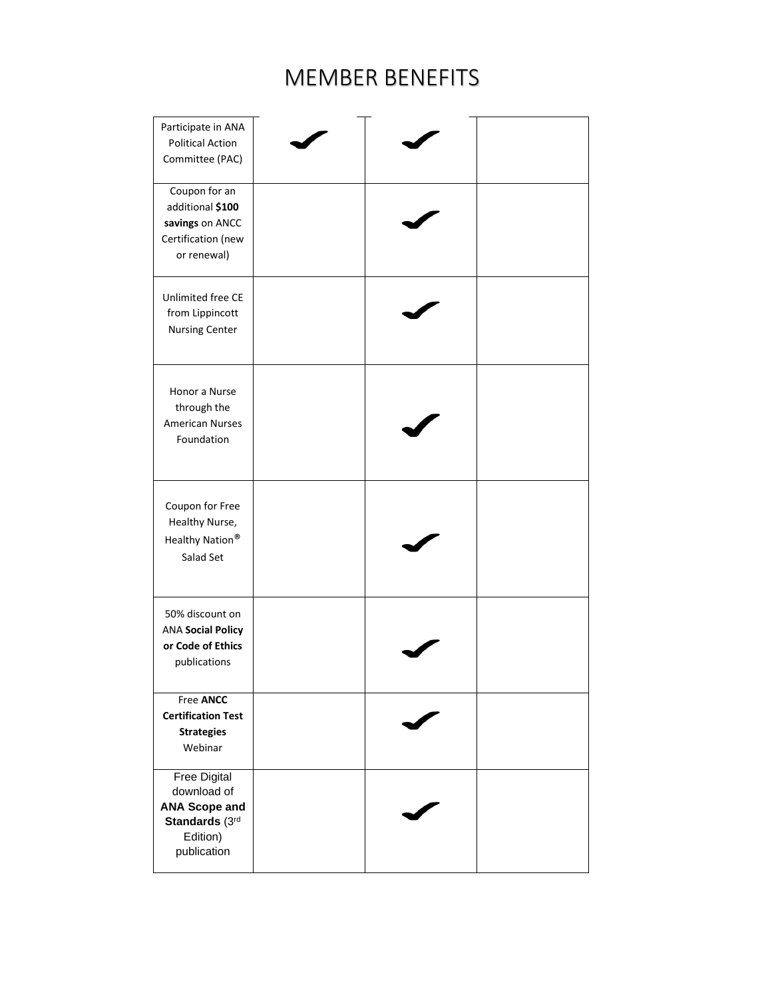| Participate in ANA<br><b>Political Action</b><br>Committee (PAC)                                        |  |  |
|---------------------------------------------------------------------------------------------------------|--|--|
| Coupon for an<br>additional \$100<br>savings on ANCC<br>Certification (new<br>or renewal)               |  |  |
| Unlimited free CE<br>from Lippincott<br><b>Nursing Center</b>                                           |  |  |
| Honor a Nurse<br>through the<br><b>American Nurses</b><br>Foundation                                    |  |  |
| Coupon for Free<br>Healthy Nurse,<br>Healthy Nation®<br>Salad Set                                       |  |  |
| 50% discount on<br><b>ANA Social Policy</b><br>or Code of Ethics<br>publications                        |  |  |
| Free ANCC<br><b>Certification Test</b><br><b>Strategies</b><br>Webinar                                  |  |  |
| <b>Free Digital</b><br>download of<br><b>ANA Scope and</b><br>Standards (3rd<br>Edition)<br>publication |  |  |